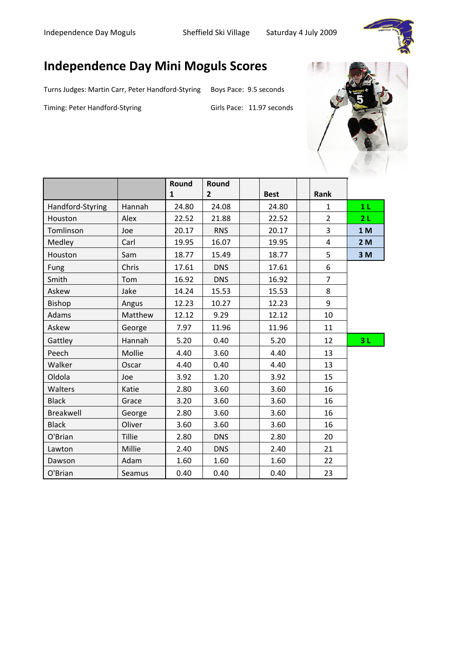

## **Independence Day Mini Moguls Scores**

Turns Judges: Martin Carr, Peter Handford-Styring Boys Pace: 9.5 seconds

Timing: Peter Handford-Styring

Girls Pace: 11.97 seconds



|                  |               | Round        | Round        |             |                |                |
|------------------|---------------|--------------|--------------|-------------|----------------|----------------|
|                  |               | $\mathbf{1}$ | $\mathbf{2}$ | <b>Best</b> | Rank           |                |
| Handford-Styring | Hannah        | 24.80        | 24.08        | 24.80       | $\mathbf{1}$   | 1 <sub>L</sub> |
| Houston          | Alex          | 22.52        | 21.88        | 22.52       | $\overline{2}$ | 2L             |
| Tomlinson        | Joe           | 20.17        | <b>RNS</b>   | 20.17       | $\overline{3}$ | 1 <sub>M</sub> |
| Medley           | Carl          | 19.95        | 16.07        | 19.95       | 4              | 2M             |
| Houston          | Sam           | 18.77        | 15.49        | 18.77       | 5              | 3M             |
| Fung             | Chris         | 17.61        | <b>DNS</b>   | 17.61       | 6              |                |
| Smith            | Tom           | 16.92        | <b>DNS</b>   | 16.92       | $\overline{7}$ |                |
| Askew            | Jake          | 14.24        | 15.53        | 15.53       | 8              |                |
| <b>Bishop</b>    | Angus         | 12.23        | 10.27        | 12.23       | 9              |                |
| Adams            | Matthew       | 12.12        | 9.29         | 12.12       | 10             |                |
| Askew            | George        | 7.97         | 11.96        | 11.96       | 11             |                |
| Gattley          | Hannah        | 5.20         | 0.40         | 5.20        | 12             | 3L             |
| Peech            | Mollie        | 4.40         | 3.60         | 4.40        | 13             |                |
| Walker           | Oscar         | 4.40         | 0.40         | 4.40        | 13             |                |
| Oldola           | Joe           | 3.92         | 1.20         | 3.92        | 15             |                |
| Walters          | Katie         | 2.80         | 3.60         | 3.60        | 16             |                |
| <b>Black</b>     | Grace         | 3.20         | 3.60         | 3.60        | 16             |                |
| Breakwell        | George        | 2.80         | 3.60         | 3.60        | 16             |                |
| <b>Black</b>     | Oliver        | 3.60         | 3.60         | 3.60        | 16             |                |
| O'Brian          | <b>Tillie</b> | 2.80         | <b>DNS</b>   | 2.80        | 20             |                |
| Lawton           | Millie        | 2.40         | <b>DNS</b>   | 2.40        | 21             |                |
| Dawson           | Adam          | 1.60         | 1.60         | 1.60        | 22             |                |
| O'Brian          | Seamus        | 0.40         | 0.40         | 0.40        | 23             |                |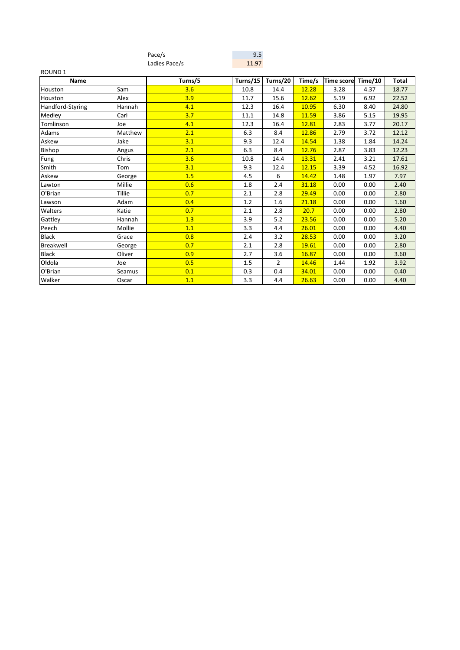|                  |         | Pace/s        | 9.5      |          |        |                    |      |       |
|------------------|---------|---------------|----------|----------|--------|--------------------|------|-------|
|                  |         | Ladies Pace/s | 11.97    |          |        |                    |      |       |
| <b>ROUND1</b>    |         |               |          |          |        |                    |      |       |
| <b>Name</b>      |         | Turns/5       | Turns/15 | Turns/20 | Time/s | Time score Time/10 |      | Total |
| Houston          | Sam     | 3.6           | 10.8     | 14.4     | 12.28  | 3.28               | 4.37 | 18.77 |
| Houston          | Alex    | 3.9           | 11.7     | 15.6     | 12.62  | 5.19               | 6.92 | 22.52 |
| Handford-Styring | Hannah  | 4.1           | 12.3     | 16.4     | 10.95  | 6.30               | 8.40 | 24.80 |
| Medley           | Carl    | 3.7           | 11.1     | 14.8     | 11.59  | 3.86               | 5.15 | 19.95 |
| Tomlinson        | Joe     | 4.1           | 12.3     | 16.4     | 12.81  | 2.83               | 3.77 | 20.17 |
| Adams            | Matthew | 2.1           | 6.3      | 8.4      | 12.86  | 2.79               | 3.72 | 12.12 |
| Askew            | Jake    | 3.1           | 9.3      | 12.4     | 14.54  | 1.38               | 1.84 | 14.24 |
| <b>Bishop</b>    | Angus   | 2.1           | 6.3      | 8.4      | 12.76  | 2.87               | 3.83 | 12.23 |
| Fung             | Chris   | 3.6           | 10.8     | 14.4     | 13.31  | 2.41               | 3.21 | 17.61 |
| Smith            | Tom     | 3.1           | 9.3      | 12.4     | 12.15  | 3.39               | 4.52 | 16.92 |
| Askew            | George  | 1.5           | 4.5      | 6        | 14.42  | 1.48               | 1.97 | 7.97  |
| Lawton           | Millie  | 0.6           | 1.8      | 2.4      | 31.18  | 0.00               | 0.00 | 2.40  |
| O'Brian          | Tillie  | 0.7           | 2.1      | 2.8      | 29.49  | 0.00               | 0.00 | 2.80  |
| Lawson           | Adam    | 0.4           | 1.2      | 1.6      | 21.18  | 0.00               | 0.00 | 1.60  |
| Walters          | Katie   | 0.7           | 2.1      | 2.8      | 20.7   | 0.00               | 0.00 | 2.80  |
| Gattley          | Hannah  | 1.3           | 3.9      | 5.2      | 23.56  | 0.00               | 0.00 | 5.20  |
| Peech            | Mollie  | 1.1           | 3.3      | 4.4      | 26.01  | 0.00               | 0.00 | 4.40  |
| <b>Black</b>     | Grace   | 0.8           | 2.4      | 3.2      | 28.53  | 0.00               | 0.00 | 3.20  |
| Breakwell        | George  | 0.7           | 2.1      | 2.8      | 19.61  | 0.00               | 0.00 | 2.80  |
| <b>Black</b>     | Oliver  | 0.9           | 2.7      | 3.6      | 16.87  | 0.00               | 0.00 | 3.60  |
| Oldola           | Joe     | 0.5           | 1.5      | 2        | 14.46  | 1.44               | 1.92 | 3.92  |
| O'Brian          | Seamus  | 0.1           | 0.3      | 0.4      | 34.01  | 0.00               | 0.00 | 0.40  |
| Walker           | Oscar   | 1.1           | 3.3      | 4.4      | 26.63  | 0.00               | 0.00 | 4.40  |